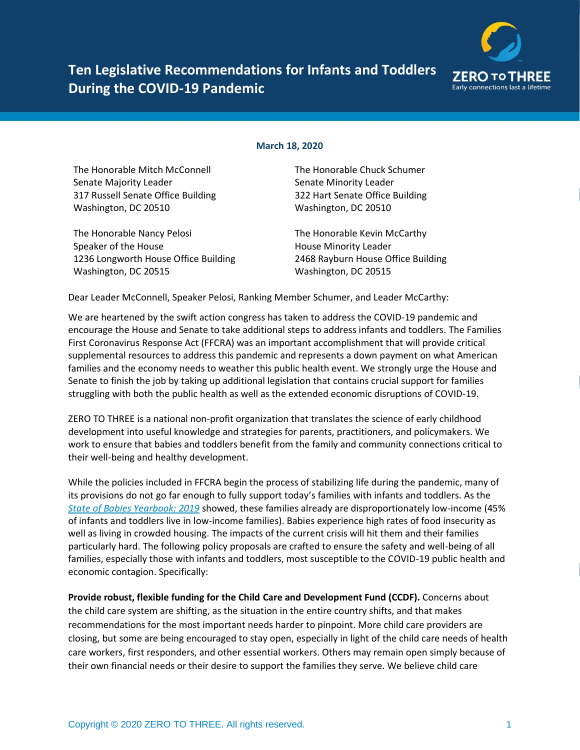

## **Ten Legislative Recommendations for Infants and Toddlers During the COVID-19 Pandemic**

## **March 18, 2020**

The Honorable Mitch McConnell Senate Majority Leader 317 Russell Senate Office Building Washington, DC 20510

The Honorable Nancy Pelosi Speaker of the House 1236 Longworth House Office Building Washington, DC 20515

The Honorable Chuck Schumer Senate Minority Leader 322 Hart Senate Office Building Washington, DC 20510

The Honorable Kevin McCarthy House Minority Leader 2468 Rayburn House Office Building Washington, DC 20515

Dear Leader McConnell, Speaker Pelosi, Ranking Member Schumer, and Leader McCarthy:

We are heartened by the swift action congress has taken to address the COVID-19 pandemic and encourage the House and Senate to take additional steps to address infants and toddlers. The Families First Coronavirus Response Act (FFCRA) was an important accomplishment that will provide critical supplemental resources to address this pandemic and represents a down payment on what American families and the economy needs to weather this public health event. We strongly urge the House and Senate to finish the job by taking up additional legislation that contains crucial support for families struggling with both the public health as well as the extended economic disruptions of COVID-19.

ZERO TO THREE is a national non-profit organization that translates the science of early childhood development into useful knowledge and strategies for parents, practitioners, and policymakers. We work to ensure that babies and toddlers benefit from the family and community connections critical to their well-being and healthy development.

While the policies included in FFCRA begin the process of stabilizing life during the pandemic, many of its provisions do not go far enough to fully support today's families with infants and toddlers. As the *[State of Babies Yearbook: 2019](https://stateofbabies.org/)* showed, these families already are disproportionately low-income (45% of infants and toddlers live in low-income families). Babies experience high rates of food insecurity as well as living in crowded housing. The impacts of the current crisis will hit them and their families particularly hard. The following policy proposals are crafted to ensure the safety and well-being of all families, especially those with infants and toddlers, most susceptible to the COVID-19 public health and economic contagion. Specifically:

**Provide robust, flexible funding for the Child Care and Development Fund (CCDF).** Concerns about the child care system are shifting, as the situation in the entire country shifts, and that makes recommendations for the most important needs harder to pinpoint. More child care providers are closing, but some are being encouraged to stay open, especially in light of the child care needs of health care workers, first responders, and other essential workers. Others may remain open simply because of their own financial needs or their desire to support the families they serve. We believe child care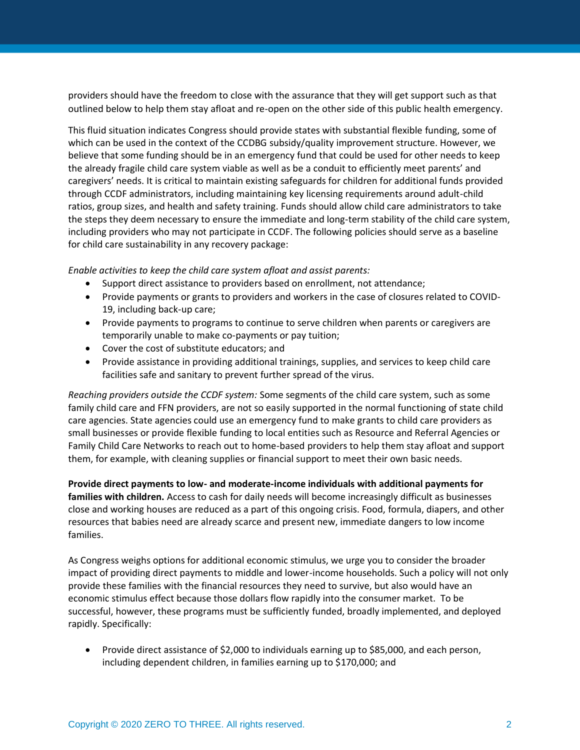providers should have the freedom to close with the assurance that they will get support such as that outlined below to help them stay afloat and re-open on the other side of this public health emergency.

This fluid situation indicates Congress should provide states with substantial flexible funding, some of which can be used in the context of the CCDBG subsidy/quality improvement structure. However, we believe that some funding should be in an emergency fund that could be used for other needs to keep the already fragile child care system viable as well as be a conduit to efficiently meet parents' and caregivers' needs. It is critical to maintain existing safeguards for children for additional funds provided through CCDF administrators, including maintaining key licensing requirements around adult-child ratios, group sizes, and health and safety training. Funds should allow child care administrators to take the steps they deem necessary to ensure the immediate and long-term stability of the child care system, including providers who may not participate in CCDF. The following policies should serve as a baseline for child care sustainability in any recovery package:

*Enable activities to keep the child care system afloat and assist parents:*

- Support direct assistance to providers based on enrollment, not attendance;
- Provide payments or grants to providers and workers in the case of closures related to COVID-19, including back-up care;
- Provide payments to programs to continue to serve children when parents or caregivers are temporarily unable to make co-payments or pay tuition;
- Cover the cost of substitute educators; and
- Provide assistance in providing additional trainings, supplies, and services to keep child care facilities safe and sanitary to prevent further spread of the virus.

*Reaching providers outside the CCDF system:* Some segments of the child care system, such as some family child care and FFN providers, are not so easily supported in the normal functioning of state child care agencies. State agencies could use an emergency fund to make grants to child care providers as small businesses or provide flexible funding to local entities such as Resource and Referral Agencies or Family Child Care Networks to reach out to home-based providers to help them stay afloat and support them, for example, with cleaning supplies or financial support to meet their own basic needs.

**Provide direct payments to low- and moderate-income individuals with additional payments for families with children.** Access to cash for daily needs will become increasingly difficult as businesses close and working houses are reduced as a part of this ongoing crisis. Food, formula, diapers, and other resources that babies need are already scarce and present new, immediate dangers to low income families.

As Congress weighs options for additional economic stimulus, we urge you to consider the broader impact of providing direct payments to middle and lower-income households. Such a policy will not only provide these families with the financial resources they need to survive, but also would have an economic stimulus effect because those dollars flow rapidly into the consumer market.  To be successful, however, these programs must be sufficiently funded, broadly implemented, and deployed rapidly. Specifically:

• Provide direct assistance of \$2,000 to individuals earning up to \$85,000, and each person, including dependent children, in families earning up to \$170,000; and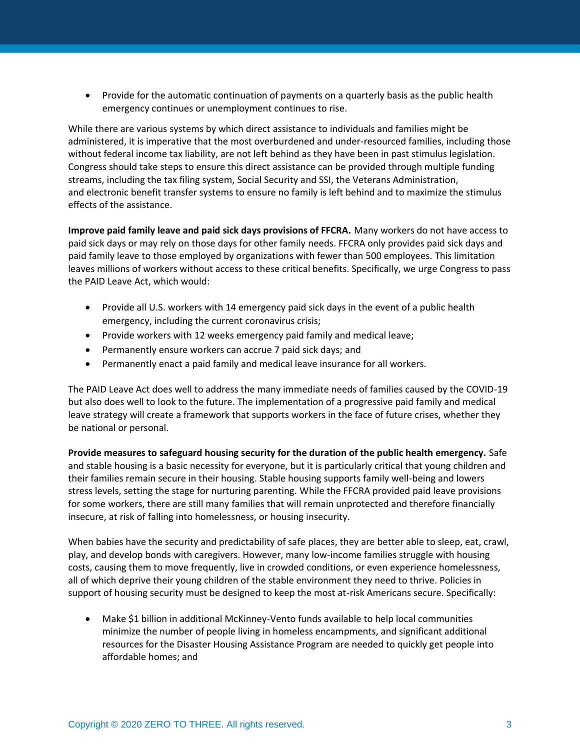• Provide for the automatic continuation of payments on a quarterly basis as the public health emergency continues or unemployment continues to rise.

While there are various systems by which direct assistance to individuals and families might be administered, it is imperative that the most overburdened and under-resourced families, including those without federal income tax liability, are not left behind as they have been in past stimulus legislation. Congress should take steps to ensure this direct assistance can be provided through multiple funding streams, including the tax filing system, Social Security and SSI, the Veterans Administration, and electronic benefit transfer systems to ensure no family is left behind and to maximize the stimulus effects of the assistance.

**Improve paid family leave and paid sick days provisions of FFCRA.** Many workers do not have access to paid sick days or may rely on those days for other family needs. FFCRA only provides paid sick days and paid family leave to those employed by organizations with fewer than 500 employees. This limitation leaves millions of workers without access to these critical benefits. Specifically, we urge Congress to pass the PAID Leave Act, which would:

- Provide all U.S. workers with 14 emergency paid sick days in the event of a public health emergency, including the current coronavirus crisis;
- Provide workers with 12 weeks emergency paid family and medical leave;
- Permanently ensure workers can accrue 7 paid sick days; and
- Permanently enact a paid family and medical leave insurance for all workers.

The PAID Leave Act does well to address the many immediate needs of families caused by the COVID-19 but also does well to look to the future. The implementation of a progressive paid family and medical leave strategy will create a framework that supports workers in the face of future crises, whether they be national or personal.

**Provide measures to safeguard housing security for the duration of the public health emergency.** Safe and stable housing is a basic necessity for everyone, but it is particularly critical that young children and their families remain secure in their housing. Stable housing supports family well-being and lowers stress levels, setting the stage for nurturing parenting. While the FFCRA provided paid leave provisions for some workers, there are still many families that will remain unprotected and therefore financially insecure, at risk of falling into homelessness, or housing insecurity.

When babies have the security and predictability of safe places, they are better able to sleep, eat, crawl, play, and develop bonds with caregivers. However, many low-income families struggle with housing costs, causing them to move frequently, live in crowded conditions, or even experience homelessness, all of which deprive their young children of the stable environment they need to thrive. Policies in support of housing security must be designed to keep the most at-risk Americans secure. Specifically:

• Make \$1 billion in additional McKinney-Vento funds available to help local communities minimize the number of people living in homeless encampments, and significant additional resources for the Disaster Housing Assistance Program are needed to quickly get people into affordable homes; and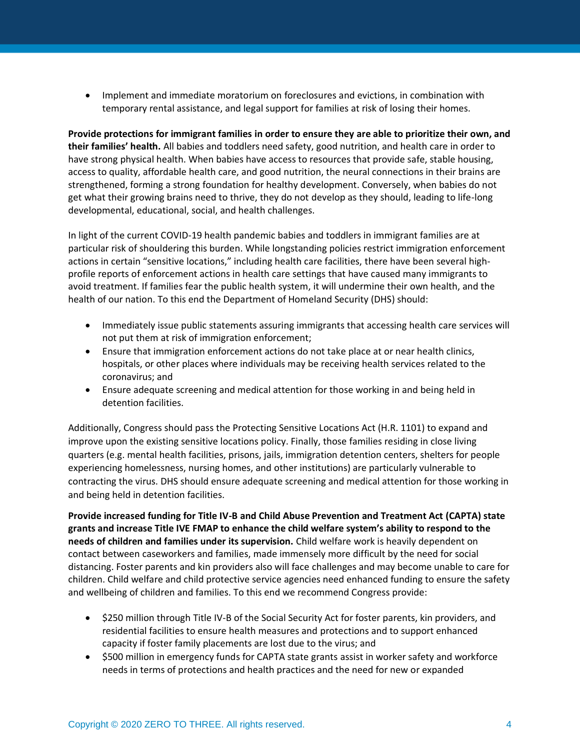• Implement and immediate moratorium on foreclosures and evictions, in combination with temporary rental assistance, and legal support for families at risk of losing their homes.

**Provide protections for immigrant families in order to ensure they are able to prioritize their own, and their families' health.** All babies and toddlers need safety, good nutrition, and health care in order to have strong physical health. When babies have access to resources that provide safe, stable housing, access to quality, affordable health care, and good nutrition, the neural connections in their brains are strengthened, forming a strong foundation for healthy development. Conversely, when babies do not get what their growing brains need to thrive, they do not develop as they should, leading to life-long developmental, educational, social, and health challenges.

In light of the current COVID-19 health pandemic babies and toddlers in immigrant families are at particular risk of shouldering this burden. While longstanding policies restrict immigration enforcement actions in certain "sensitive locations," including health care facilities, there have been several highprofile reports of enforcement actions in health care settings that have caused many immigrants to avoid treatment. If families fear the public health system, it will undermine their own health, and the health of our nation. To this end the Department of Homeland Security (DHS) should:

- Immediately issue public statements assuring immigrants that accessing health care services will not put them at risk of immigration enforcement;
- Ensure that immigration enforcement actions do not take place at or near health clinics, hospitals, or other places where individuals may be receiving health services related to the coronavirus; and
- Ensure adequate screening and medical attention for those working in and being held in detention facilities.

Additionally, Congress should pass the Protecting Sensitive Locations Act (H.R. 1101) to expand and improve upon the existing sensitive locations policy. Finally, those families residing in close living quarters (e.g. mental health facilities, prisons, jails, immigration detention centers, shelters for people experiencing homelessness, nursing homes, and other institutions) are particularly vulnerable to contracting the virus. DHS should ensure adequate screening and medical attention for those working in and being held in detention facilities.

**Provide increased funding for Title IV-B and Child Abuse Prevention and Treatment Act (CAPTA) state grants and increase Title IVE FMAP to enhance the child welfare system's ability to respond to the needs of children and families under its supervision.** Child welfare work is heavily dependent on contact between caseworkers and families, made immensely more difficult by the need for social distancing. Foster parents and kin providers also will face challenges and may become unable to care for children. Child welfare and child protective service agencies need enhanced funding to ensure the safety and wellbeing of children and families. To this end we recommend Congress provide:

- \$250 million through Title IV-B of the Social Security Act for foster parents, kin providers, and residential facilities to ensure health measures and protections and to support enhanced capacity if foster family placements are lost due to the virus; and
- \$500 million in emergency funds for CAPTA state grants assist in worker safety and workforce needs in terms of protections and health practices and the need for new or expanded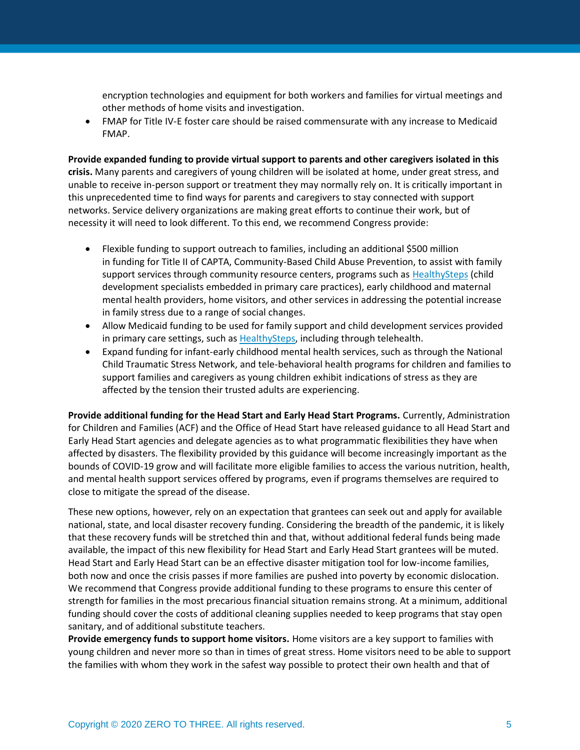encryption technologies and equipment for both workers and families for virtual meetings and other methods of home visits and investigation.

• FMAP for Title IV-E foster care should be raised commensurate with any increase to Medicaid FMAP.

**Provide expanded funding to provide virtual support to parents and other caregivers isolated in this crisis.** Many parents and caregivers of young children will be isolated at home, under great stress, and unable to receive in-person support or treatment they may normally rely on. It is critically important in this unprecedented time to find ways for parents and caregivers to stay connected with support networks. Service delivery organizations are making great efforts to continue their work, but of necessity it will need to look different. To this end, we recommend Congress provide:

- Flexible funding to support outreach to families, including an additional \$500 million in funding for Title II of CAPTA, Community-Based Child Abuse Prevention, to assist with family support services through community resource centers, programs such as [HealthySteps](https://www.healthysteps.org/) (child development specialists embedded in primary care practices), early childhood and maternal mental health providers, home visitors, and other services in addressing the potential increase in family stress due to a range of social changes.
- Allow Medicaid funding to be used for family support and child development services provided in primary care settings, such as [HealthySteps,](https://www.healthysteps.org/) including through telehealth.
- Expand funding for infant-early childhood mental health services, such as through the National Child Traumatic Stress Network, and tele-behavioral health programs for children and families to support families and caregivers as young children exhibit indications of stress as they are affected by the tension their trusted adults are experiencing.

**Provide additional funding for the Head Start and Early Head Start Programs.** Currently, Administration for Children and Families (ACF) and the Office of Head Start have released guidance to all Head Start and Early Head Start agencies and delegate agencies as to what programmatic flexibilities they have when affected by disasters. The flexibility provided by this guidance will become increasingly important as the bounds of COVID-19 grow and will facilitate more eligible families to access the various nutrition, health, and mental health support services offered by programs, even if programs themselves are required to close to mitigate the spread of the disease.

These new options, however, rely on an expectation that grantees can seek out and apply for available national, state, and local disaster recovery funding. Considering the breadth of the pandemic, it is likely that these recovery funds will be stretched thin and that, without additional federal funds being made available, the impact of this new flexibility for Head Start and Early Head Start grantees will be muted. Head Start and Early Head Start can be an effective disaster mitigation tool for low-income families, both now and once the crisis passes if more families are pushed into poverty by economic dislocation. We recommend that Congress provide additional funding to these programs to ensure this center of strength for families in the most precarious financial situation remains strong. At a minimum, additional funding should cover the costs of additional cleaning supplies needed to keep programs that stay open sanitary, and of additional substitute teachers.

**Provide emergency funds to support home visitors.** Home visitors are a key support to families with young children and never more so than in times of great stress. Home visitors need to be able to support the families with whom they work in the safest way possible to protect their own health and that of